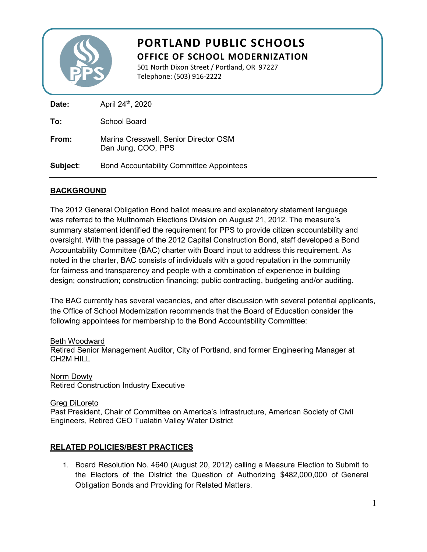

# **PORTLAND PUBLIC SCHOOLS OFFICE OF SCHOOL MODERNIZATION**

501 North Dixon Street / Portland, OR 97227 Telephone: (503) 916-2222

| Date:    | April 24th, 2020                                            |
|----------|-------------------------------------------------------------|
| To:      | School Board                                                |
| From:    | Marina Cresswell, Senior Director OSM<br>Dan Jung, COO, PPS |
| Subject: | <b>Bond Accountability Committee Appointees</b>             |

# **BACKGROUND**

The 2012 General Obligation Bond ballot measure and explanatory statement language was referred to the Multnomah Elections Division on August 21, 2012. The measure's summary statement identified the requirement for PPS to provide citizen accountability and oversight. With the passage of the 2012 Capital Construction Bond, staff developed a Bond Accountability Committee (BAC) charter with Board input to address this requirement. As noted in the charter, BAC consists of individuals with a good reputation in the community for fairness and transparency and people with a combination of experience in building design; construction; construction financing; public contracting, budgeting and/or auditing.

The BAC currently has several vacancies, and after discussion with several potential applicants, the Office of School Modernization recommends that the Board of Education consider the following appointees for membership to the Bond Accountability Committee:

## Beth Woodward

Retired Senior Management Auditor, City of Portland, and former Engineering Manager at CH2M HILL

Norm Dowty Retired Construction Industry Executive

## Greg DiLoreto

Past President, Chair of Committee on America's Infrastructure, American Society of Civil Engineers, Retired CEO Tualatin Valley Water District

# **RELATED POLICIES/BEST PRACTICES**

1. Board Resolution No. 4640 (August 20, 2012) calling a Measure Election to Submit to the Electors of the District the Question of Authorizing \$482,000,000 of General Obligation Bonds and Providing for Related Matters.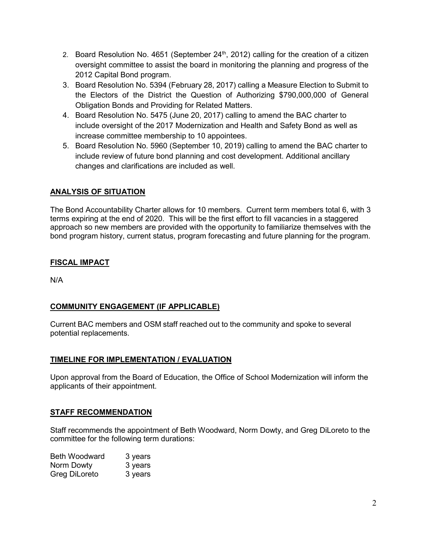- 2. Board Resolution No. 4651 (September  $24<sup>th</sup>$ , 2012) calling for the creation of a citizen oversight committee to assist the board in monitoring the planning and progress of the 2012 Capital Bond program.
- 3. Board Resolution No. 5394 (February 28, 2017) calling a Measure Election to Submit to the Electors of the District the Question of Authorizing \$790,000,000 of General Obligation Bonds and Providing for Related Matters.
- 4. Board Resolution No. 5475 (June 20, 2017) calling to amend the BAC charter to include oversight of the 2017 Modernization and Health and Safety Bond as well as increase committee membership to 10 appointees.
- 5. Board Resolution No. 5960 (September 10, 2019) calling to amend the BAC charter to include review of future bond planning and cost development. Additional ancillary changes and clarifications are included as well.

# **ANALYSIS OF SITUATION**

The Bond Accountability Charter allows for 10 members. Current term members total 6, with 3 terms expiring at the end of 2020. This will be the first effort to fill vacancies in a staggered approach so new members are provided with the opportunity to familiarize themselves with the bond program history, current status, program forecasting and future planning for the program.

# **FISCAL IMPACT**

N/A

# **COMMUNITY ENGAGEMENT (IF APPLICABLE)**

Current BAC members and OSM staff reached out to the community and spoke to several potential replacements.

# **TIMELINE FOR IMPLEMENTATION / EVALUATION**

Upon approval from the Board of Education, the Office of School Modernization will inform the applicants of their appointment.

# **STAFF RECOMMENDATION**

Staff recommends the appointment of Beth Woodward, Norm Dowty, and Greg DiLoreto to the committee for the following term durations:

| <b>Beth Woodward</b> | 3 years |
|----------------------|---------|
| Norm Dowty           | 3 years |
| Greg DiLoreto        | 3 years |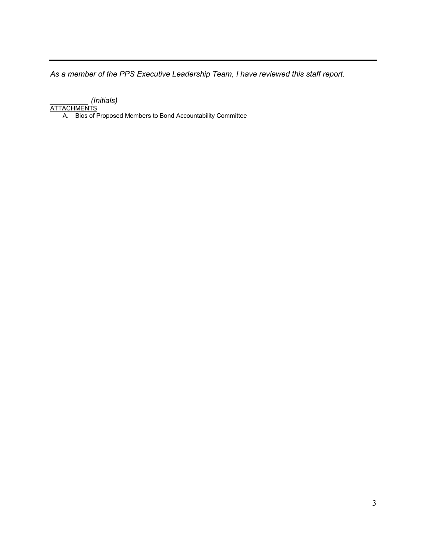*As a member of the PPS Executive Leadership Team, I have reviewed this staff report.* 

*\_\_\_\_\_\_\_\_\_ (Initials)*

<u>ATTACHMENTS</u>

A. Bios of Proposed Members to Bond Accountability Committee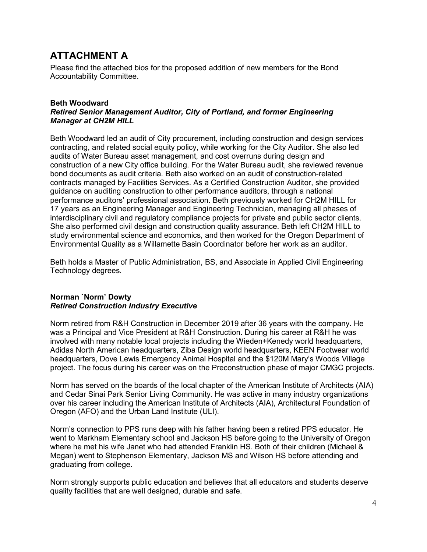# **ATTACHMENT A**

Please find the attached bios for the proposed addition of new members for the Bond Accountability Committee.

### **Beth Woodward** *Retired Senior Management Auditor, City of Portland, and former Engineering Manager at CH2M HILL*

Beth Woodward led an audit of City procurement, including construction and design services contracting, and related social equity policy, while working for the City Auditor. She also led audits of Water Bureau asset management, and cost overruns during design and construction of a new City office building. For the Water Bureau audit, she reviewed revenue bond documents as audit criteria. Beth also worked on an audit of construction-related contracts managed by Facilities Services. As a Certified Construction Auditor, she provided guidance on auditing construction to other performance auditors, through a national performance auditors' professional association. Beth previously worked for CH2M HILL for 17 years as an Engineering Manager and Engineering Technician, managing all phases of interdisciplinary civil and regulatory compliance projects for private and public sector clients. She also performed civil design and construction quality assurance. Beth left CH2M HILL to study environmental science and economics, and then worked for the Oregon Department of Environmental Quality as a Willamette Basin Coordinator before her work as an auditor.

Beth holds a Master of Public Administration, BS, and Associate in Applied Civil Engineering Technology degrees.

## **Norman `Norm' Dowty** *Retired Construction Industry Executive*

Norm retired from R&H Construction in December 2019 after 36 years with the company. He was a Principal and Vice President at R&H Construction. During his career at R&H he was involved with many notable local projects including the Wieden+Kenedy world headquarters, Adidas North American headquarters, Ziba Design world headquarters, KEEN Footwear world headquarters, Dove Lewis Emergency Animal Hospital and the \$120M Mary's Woods Village project. The focus during his career was on the Preconstruction phase of major CMGC projects.

Norm has served on the boards of the local chapter of the American Institute of Architects (AIA) and Cedar Sinai Park Senior Living Community. He was active in many industry organizations over his career including the American Institute of Architects (AIA), Architectural Foundation of Oregon (AFO) and the Urban Land Institute (ULI).

Norm's connection to PPS runs deep with his father having been a retired PPS educator. He went to Markham Elementary school and Jackson HS before going to the University of Oregon where he met his wife Janet who had attended Franklin HS. Both of their children (Michael & Megan) went to Stephenson Elementary, Jackson MS and Wilson HS before attending and graduating from college.

Norm strongly supports public education and believes that all educators and students deserve quality facilities that are well designed, durable and safe.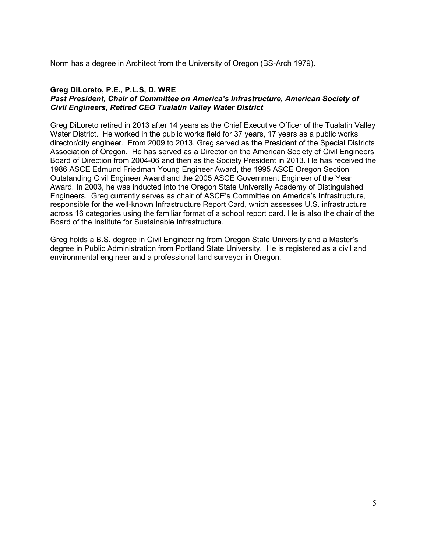Norm has a degree in Architect from the University of Oregon (BS-Arch 1979).

### **Greg DiLoreto, P.E., P.L.S, D. WRE**

## *Past President, Chair of Committee on America's Infrastructure, American Society of Civil Engineers, Retired CEO Tualatin Valley Water District*

Greg DiLoreto retired in 2013 after 14 years as the Chief Executive Officer of the Tualatin Valley Water District. He worked in the public works field for 37 years, 17 years as a public works director/city engineer. From 2009 to 2013, Greg served as the President of the Special Districts Association of Oregon. He has served as a Director on the American Society of Civil Engineers Board of Direction from 2004-06 and then as the Society President in 2013. He has received the 1986 ASCE Edmund Friedman Young Engineer Award, the 1995 ASCE Oregon Section Outstanding Civil Engineer Award and the 2005 ASCE Government Engineer of the Year Award. In 2003, he was inducted into the Oregon State University Academy of Distinguished Engineers. Greg currently serves as chair of ASCE's Committee on America's Infrastructure, responsible for the well-known Infrastructure Report Card, which assesses U.S. infrastructure across 16 categories using the familiar format of a school report card. He is also the chair of the Board of the Institute for Sustainable Infrastructure.

Greg holds a B.S. degree in Civil Engineering from Oregon State University and a Master's degree in Public Administration from Portland State University. He is registered as a civil and environmental engineer and a professional land surveyor in Oregon.